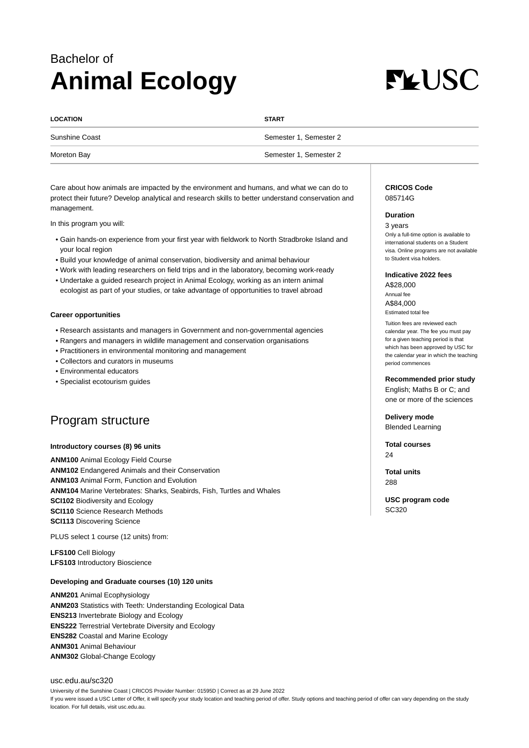# Bachelor of **Animal Ecology**



| <b>LOCATION</b>       | <b>START</b>           |
|-----------------------|------------------------|
| <b>Sunshine Coast</b> | Semester 1, Semester 2 |
| Moreton Bay           | Semester 1, Semester 2 |

Care about how animals are impacted by the environment and humans, and what we can do to protect their future? Develop analytical and research skills to better understand conservation and management.

In this program you will:

- Gain hands-on experience from your first year with fieldwork to North Stradbroke Island and your local region
- Build your knowledge of animal conservation, biodiversity and animal behaviour
- Work with leading researchers on field trips and in the laboratory, becoming work-ready
- Undertake a guided research project in Animal Ecology, working as an intern animal ecologist as part of your studies, or take advantage of opportunities to travel abroad

#### **Career opportunities**

- Research assistants and managers in Government and non-governmental agencies
- Rangers and managers in wildlife management and conservation organisations
- Practitioners in environmental monitoring and management
- Collectors and curators in museums
- Environmental educators
- Specialist ecotourism guides

# Program structure

#### **Introductory courses (8) 96 units**

**ANM100** Animal Ecology Field Course **ANM102** Endangered Animals and their Conservation **ANM103** Animal Form, Function and Evolution **ANM104** Marine Vertebrates: Sharks, Seabirds, Fish, Turtles and Whales **SCI102** Biodiversity and Ecology **SCI110** Science Research Methods **SCI113** Discovering Science

PLUS select 1 course (12 units) from:

**LFS100** Cell Biology **LFS103** Introductory Bioscience

### **Developing and Graduate courses (10) 120 units**

**ANM201** Animal Ecophysiology **ANM203** Statistics with Teeth: Understanding Ecological Data **ENS213** Invertebrate Biology and Ecology **ENS222** Terrestrial Vertebrate Diversity and Ecology **ENS282** Coastal and Marine Ecology **ANM301** Animal Behaviour **ANM302** Global-Change Ecology

#### [usc.edu.au/sc320](https://www.usc.edu.au/sc320)

University of the Sunshine Coast | CRICOS Provider Number: 01595D | Correct as at 29 June 2022 If you were issued a USC Letter of Offer, it will specify your study location and teaching period of offer. Study options and teaching period of offer can vary depending on the study location. For full details, visit usc.edu.au.

#### **CRICOS Code** 085714G

#### **Duration**

3 years Only a full-time option is available to international students on a Student visa. Online programs are not available to Student visa holders.

#### **Indicative 2022 fees**

A\$28,000 Annual fee A\$84,000 Estimated total fee

Tuition fees are reviewed each calendar year. The fee you must pay for a given teaching period is that which has been approved by USC for the calendar year in which the teaching period commences

#### **Recommended prior study**

English; Maths B or C; and one or more of the sciences

**Delivery mode** Blended Learning

**Total courses**  $24$ 

**Total units** 288

**USC program code** SC320